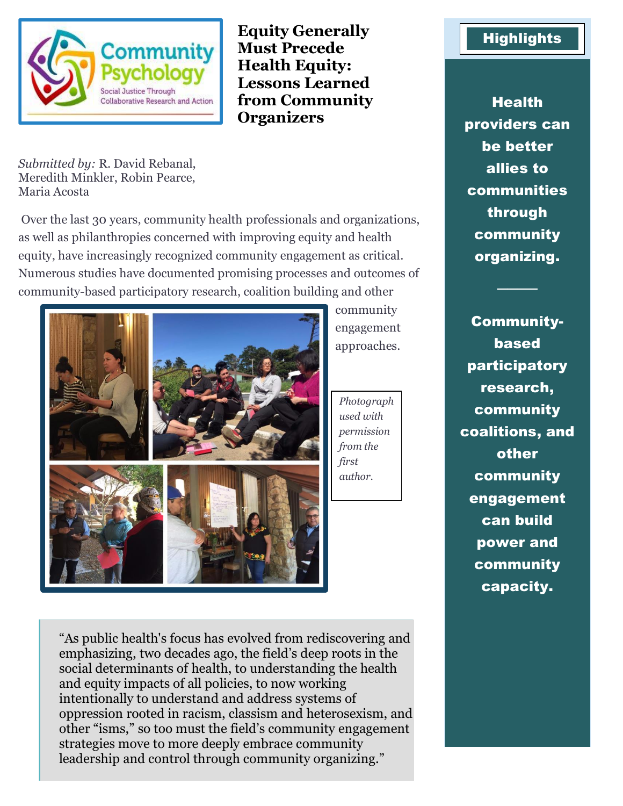

**Equity Generally Must Precede Health Equity: Lessons Learned from Community Organizers**

*Submitted by:* R. David Rebanal, Meredith Minkler, Robin Pearce, Maria Acosta

Over the last 30 years, community health professionals and organizations, as well as philanthropies concerned with improving equity and health equity, have increasingly recognized community engagement as critical. Numerous studies have documented promising processes and outcomes of community-based participatory research, coalition building and other



community engagement approaches.

*Photograph used with permission from the first author.*

**Highlights** 

**Health** providers can be better allies to communities through community organizing.

────

Communitybased participatory research, community coalitions, and other community engagement can build power and community capacity.

"As public health's focus has evolved from rediscovering and emphasizing, two decades ago, the field's deep roots in the social determinants of health, to understanding the health and equity impacts of all policies, to now working intentionally to understand and address systems of oppression rooted in racism, classism and heterosexism, and other "isms," so too must the field's community engagement strategies move to more deeply embrace community leadership and control through community organizing."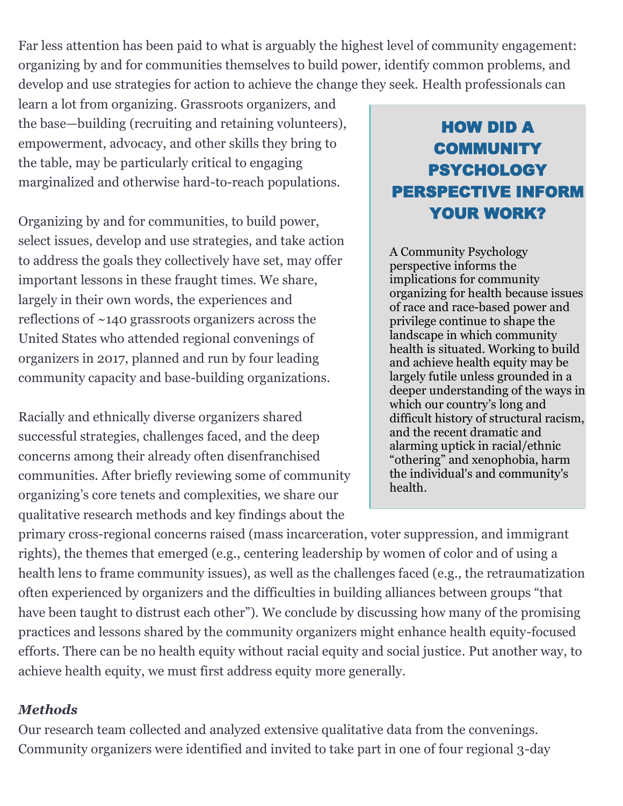Far less attention has been paid to what is arguably the highest level of community engagement: organizing by and for communities themselves to build power, identify common problems, and develop and use strategies for action to achieve the change they seek. Health professionals can

learn a lot from organizing. Grassroots organizers, and the base—building (recruiting and retaining volunteers), empowerment, advocacy, and other skills they bring to the table, may be particularly critical to engaging marginalized and otherwise hard-to-reach populations.

Organizing by and for communities, to build power, select issues, develop and use strategies, and take action to address the goals they collectively have set, may offer important lessons in these fraught times. We share, largely in their own words, the experiences and reflections of ~140 grassroots organizers across the United States who attended regional convenings of organizers in 2017, planned and run by four leading community capacity and base-building organizations.

Racially and ethnically diverse organizers shared successful strategies, challenges faced, and the deep concerns among their already often disenfranchised communities. After briefly reviewing some of community organizing's core tenets and complexities, we share our qualitative research methods and key findings about the

## HOW DID A COMMUNITY PSYCHOLOGY PERSPECTIVE INFORM YOUR WORK?

A Community Psychology perspective informs the implications for community organizing for health because issues of race and race-based power and privilege continue to shape the landscape in which community health is situated. Working to build and achieve health equity may be largely futile unless grounded in a deeper understanding of the ways in which our country's long and difficult history of structural racism, and the recent dramatic and alarming uptick in racial/ethnic "othering" and xenophobia, harm the individual's and community's health.

primary cross-regional concerns raised (mass incarceration, voter suppression, and immigrant rights), the themes that emerged (e.g., centering leadership by women of color and of using a health lens to frame community issues), as well as the challenges faced (e.g., the retraumatization often experienced by organizers and the difficulties in building alliances between groups "that have been taught to distrust each other"). We conclude by discussing how many of the promising practices and lessons shared by the community organizers might enhance health equity-focused efforts. There can be no health equity without racial equity and social justice. Put another way, to achieve health equity, we must first address equity more generally.

## *Methods*

Our research team collected and analyzed extensive qualitative data from the convenings. Community organizers were identified and invited to take part in one of four regional 3-day